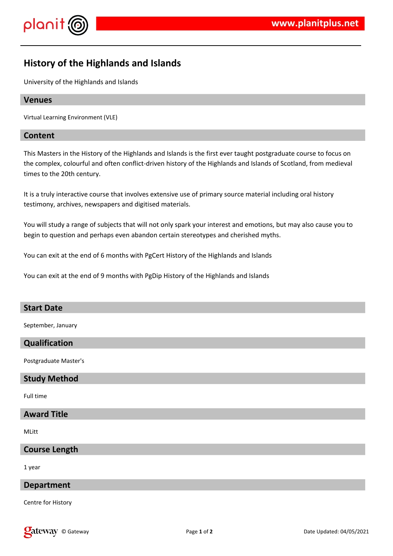



# **History of the Highlands and Islands**

University of the Highlands and Islands

# **Venues**

Virtual Learning Environment (VLE)

# **Content**

This Masters in the History of the Highlands and Islands is the first ever taught postgraduate course to focus on the complex, colourful and often conflict-driven history of the Highlands and Islands of Scotland, from medieval times to the 20th century.

It is a truly interactive course that involves extensive use of primary source material including oral history testimony, archives, newspapers and digitised materials.

You will study a range of subjects that will not only spark your interest and emotions, but may also cause you to begin to question and perhaps even abandon certain stereotypes and cherished myths.

You can exit at the end of 6 months with PgCert History of the Highlands and Islands

You can exit at the end of 9 months with PgDip History of the Highlands and Islands

# **Start Date**

September, January

#### **Qualification**

Postgraduate Master's

#### **Study Method**

Full time

# **Award Title**

MLitt

**Course Length**

1 year

#### **Department**

Centre for History